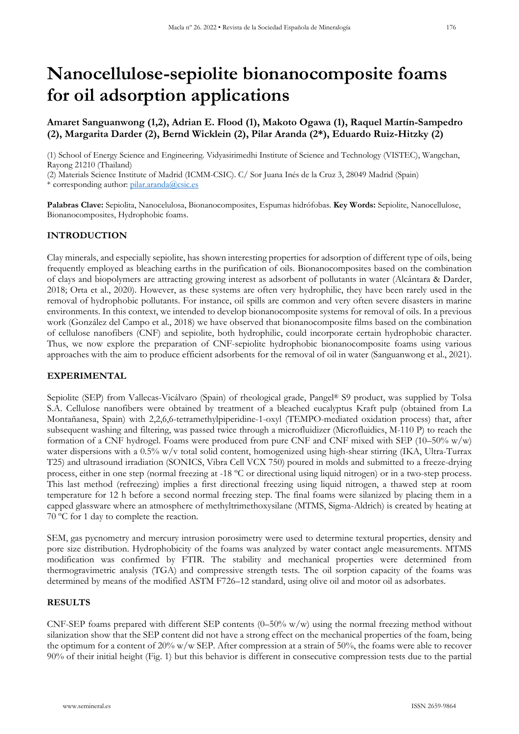# **Nanocellulose-sepiolite bionanocomposite foams for oil adsorption applications**

# **Amaret Sanguanwong (1,2), Adrian E. Flood (1), Makoto Ogawa (1), Raquel Martín-Sampedro (2), Margarita Darder (2), Bernd Wicklein (2), Pilar Aranda (2\*), Eduardo Ruiz-Hitzky (2)**

(1) School of Energy Science and Engineering. Vidyasirimedhi Institute of Science and Technology (VISTEC), Wangchan, Rayong 21210 (Thailand)

(2) Materials Science Institute of Madrid (ICMM-CSIC). C/ Sor Juana Inés de la Cruz 3, 28049 Madrid (Spain) \* corresponding author: [pilar.aranda@csic.es](mailto:pilar.aranda@csic.es)

**Palabras Clave:** Sepiolita, Nanocelulosa, Bionanocomposites, Espumas hidrófobas. **Key Words:** Sepiolite, Nanocellulose, Bionanocomposites, Hydrophobic foams.

## **INTRODUCTION**

Clay minerals, and especially sepiolite, has shown interesting properties for adsorption of different type of oils, being frequently employed as bleaching earths in the purification of oils. Bionanocomposites based on the combination of clays and biopolymers are attracting growing interest as adsorbent of pollutants in water (Alcântara & Darder, 2018; Orta et al., 2020). However, as these systems are often very hydrophilic, they have been rarely used in the removal of hydrophobic pollutants. For instance, oil spills are common and very often severe disasters in marine environments. In this context, we intended to develop bionanocomposite systems for removal of oils. In a previous work (González del Campo et al., 2018) we have observed that bionanocomposite films based on the combination of cellulose nanofibers (CNF) and sepiolite, both hydrophilic, could incorporate certain hydrophobic character. Thus, we now explore the preparation of CNF-sepiolite hydrophobic bionanocomposite foams using various approaches with the aim to produce efficient adsorbents for the removal of oil in water (Sanguanwong et al., 2021).

## **EXPERIMENTAL**

Sepiolite (SEP) from Vallecas-Vicálvaro (Spain) of rheological grade, Pangel® S9 product, was supplied by Tolsa S.A. Cellulose nanofibers were obtained by treatment of a bleached eucalyptus Kraft pulp (obtained from La Montañanesa, Spain) with 2,2,6,6-tetramethylpiperidine-1-oxyl (TEMPO-mediated oxidation process) that, after subsequent washing and filtering, was passed twice through a microfluidizer (Microfluidics, M-110 P) to reach the formation of a CNF hydrogel. Foams were produced from pure CNF and CNF mixed with SEP (10–50%  $w/w$ ) water dispersions with a 0.5% w/v total solid content, homogenized using high-shear stirring (IKA, Ultra-Turrax T25) and ultrasound irradiation (SONICS, Vibra Cell VCX 750) poured in molds and submitted to a freeze-drying process, either in one step (normal freezing at -18 ºC or directional using liquid nitrogen) or in a two-step process. This last method (refreezing) implies a first directional freezing using liquid nitrogen, a thawed step at room temperature for 12 h before a second normal freezing step. The final foams were silanized by placing them in a capped glassware where an atmosphere of methyltrimethoxysilane (MTMS, Sigma-Aldrich) is created by heating at 70 ºC for 1 day to complete the reaction.

SEM, gas pycnometry and mercury intrusion porosimetry were used to determine textural properties, density and pore size distribution. Hydrophobicity of the foams was analyzed by water contact angle measurements. MTMS modification was confirmed by FTIR. The stability and mechanical properties were determined from thermogravimetric analysis (TGA) and compressive strength tests. The oil sorption capacity of the foams was determined by means of the modified ASTM F726–12 standard, using olive oil and motor oil as adsorbates.

## **RESULTS**

CNF-SEP foams prepared with different SEP contents  $(0-50\% w/w)$  using the normal freezing method without silanization show that the SEP content did not have a strong effect on the mechanical properties of the foam, being the optimum for a content of 20% w/w SEP. After compression at a strain of 50%, the foams were able to recover 90% of their initial height (Fig. 1) but this behavior is different in consecutive compression tests due to the partial